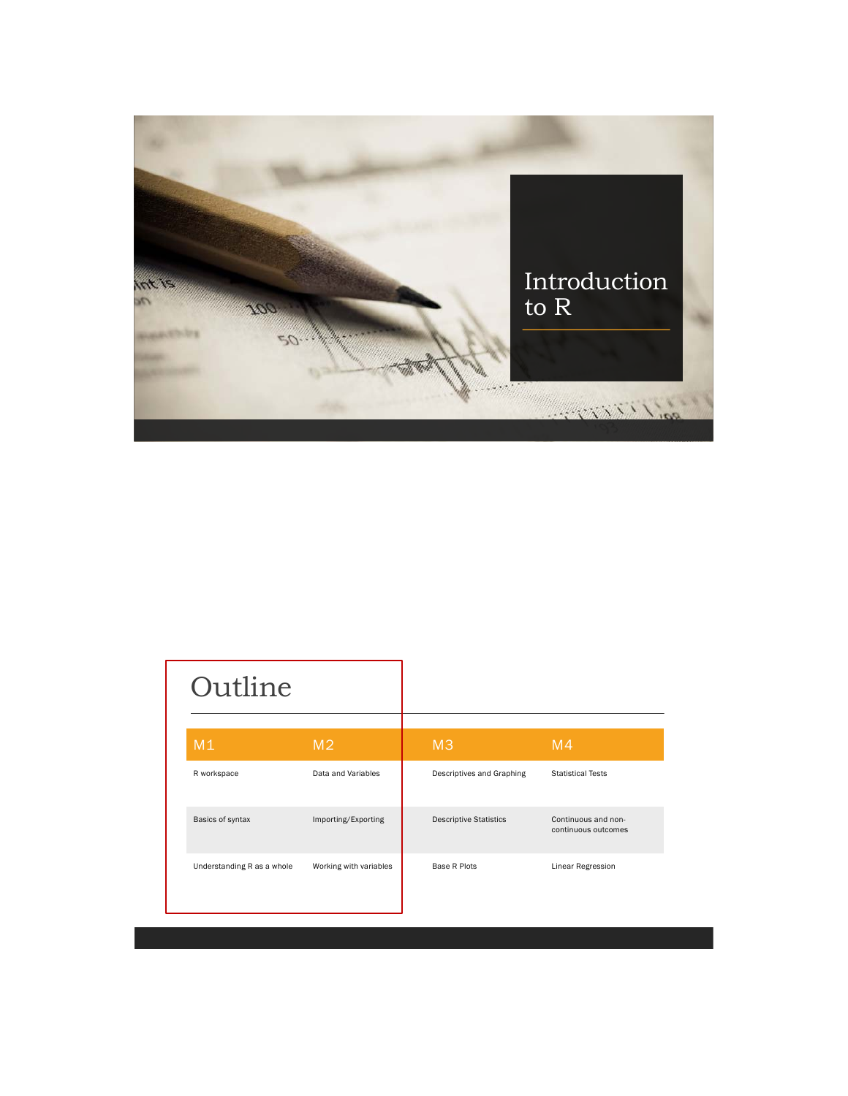

| Outline                    |                        |                               |                                            |
|----------------------------|------------------------|-------------------------------|--------------------------------------------|
| M1                         | M <sub>2</sub>         | M <sub>3</sub>                | M <sub>4</sub>                             |
| R workspace                | Data and Variables     | Descriptives and Graphing     | <b>Statistical Tests</b>                   |
| Basics of syntax           | Importing/Exporting    | <b>Descriptive Statistics</b> | Continuous and non-<br>continuous outcomes |
| Understanding R as a whole | Working with variables | Base R Plots                  | Linear Regression                          |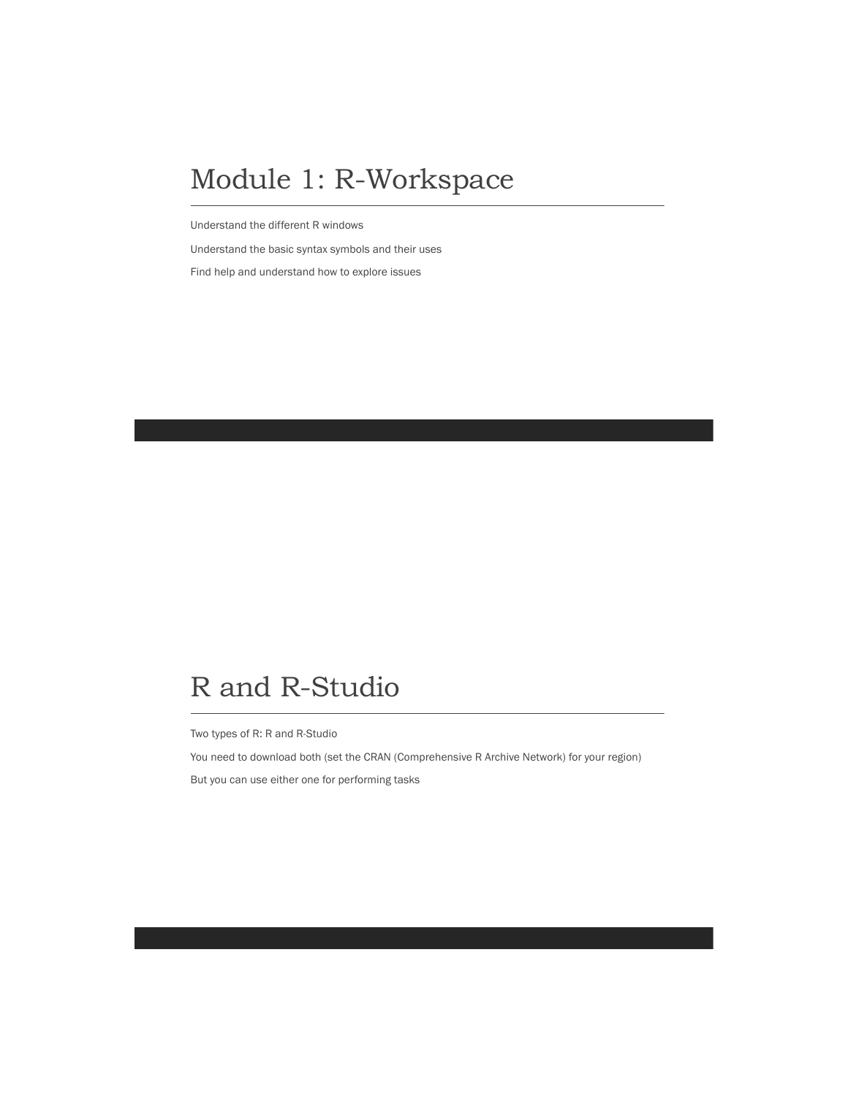#### Module 1: R-Workspace

Understand the different R windows

Understand the basic syntax symbols and their uses Find help and understand how to explore issues

# R and R-Studio

Two types of R: R and R-Studio

You need to download both (set the CRAN (Comprehensive R Archive Network) for your region) But you can use either one for performing tasks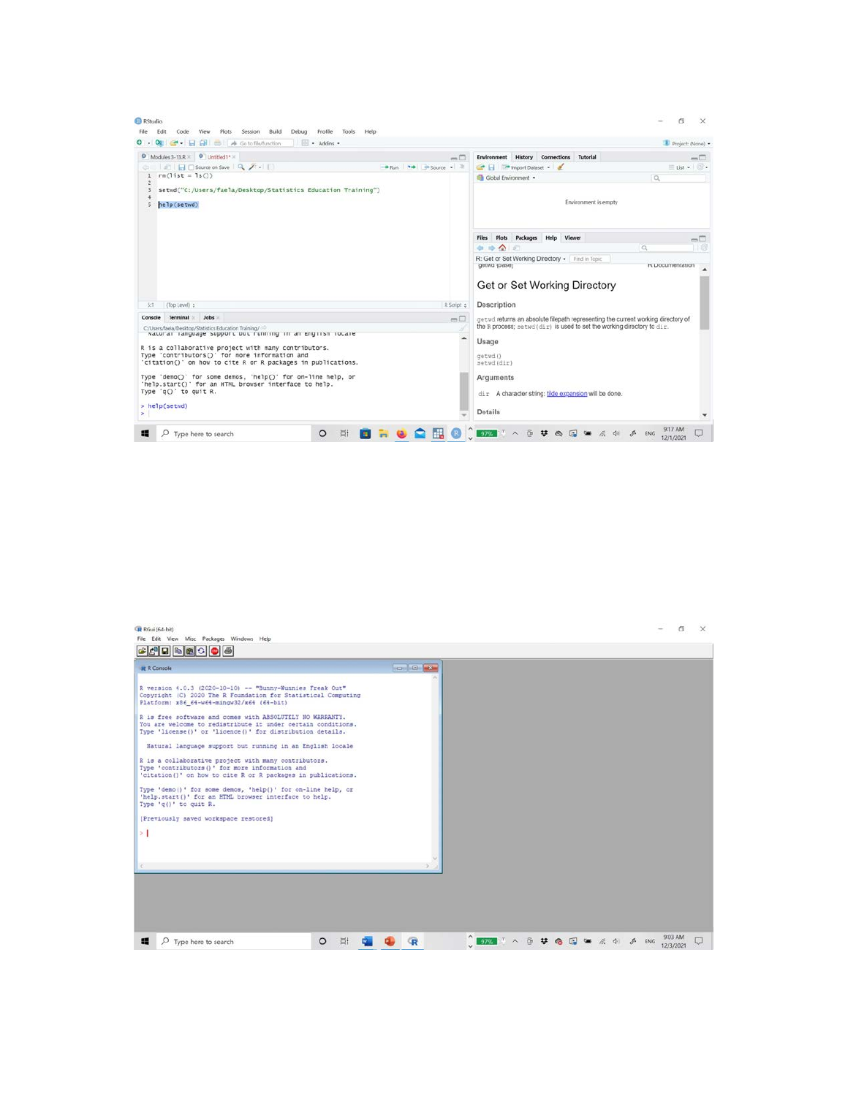| - Addins -<br>. .                                                                                      |                                                                                                                                                              | Project: (None) -                        |
|--------------------------------------------------------------------------------------------------------|--------------------------------------------------------------------------------------------------------------------------------------------------------------|------------------------------------------|
| Modules 3-13.R X 0 Untitled1* X<br>$-\Box$                                                             | History<br><b>Environment</b><br>Connections<br>Tutorial                                                                                                     | $-\Box$                                  |
| ■ 日 Source on Save Q / -<br>$+$ Run $+$ $+$ Source $ \approx$<br>$rm(list = 1s())$<br>ı                | The Import Dataset .                                                                                                                                         | $\equiv$ tist $\bullet$ $\Box$ $\bullet$ |
| $\overline{2}$                                                                                         | Global Environment .                                                                                                                                         | $\alpha$                                 |
| setwd("C:/Users/faela/Desktop/Statistics Education Training")                                          |                                                                                                                                                              |                                          |
| 5<br>help(setwd)                                                                                       | Environment is empty                                                                                                                                         |                                          |
|                                                                                                        | Plots Packages Help<br>Viewer<br>Files                                                                                                                       | $\Box$                                   |
|                                                                                                        | 如 动 会 间                                                                                                                                                      | $\Box$ 18<br>$\alpha$                    |
|                                                                                                        | R: Get or Set Working Directory + Find in Topic<br>getwo (pase)                                                                                              | <b>K Uocumentation</b>                   |
|                                                                                                        | Get or Set Working Directory                                                                                                                                 |                                          |
| R Script ¢<br>(Top Level) :<br>5:1                                                                     | Description                                                                                                                                                  |                                          |
| <b>Terminal</b><br>Jobs<br>Console<br>−−                                                               | get wd returns an absolute filepath representing the current working directory of<br>the R process; setwd (dir) is used to set the working directory to dir. |                                          |
| C/Users/faela/Desktop/Statistics Education Training/                                                   |                                                                                                                                                              |                                          |
| Natural language support out running in an engilsh locale                                              | Usage                                                                                                                                                        |                                          |
| R is a collaborative project with many contributors.<br>Type 'contributors()' for more information and | getwd()                                                                                                                                                      |                                          |
| 'citation()' on how to cite R or R packages in publications.                                           | setwd(dir)                                                                                                                                                   |                                          |
| Type 'demo()' for some demos, 'help()' for on-line help, or                                            | Arguments                                                                                                                                                    |                                          |
| 'help.start()' for an HTML browser interface to help.<br>Type 'q()' to quit R.                         |                                                                                                                                                              |                                          |
|                                                                                                        | dir A character string: tilde expansion will be done.                                                                                                        |                                          |
| > help(setwd)                                                                                          | Details                                                                                                                                                      |                                          |

| RGui (64-bit)<br>File Edit View Misc Packages Windows Help                                                                                                                                                                                                                                                                                          |                     | $\sigma$<br>$\times$                                         |
|-----------------------------------------------------------------------------------------------------------------------------------------------------------------------------------------------------------------------------------------------------------------------------------------------------------------------------------------------------|---------------------|--------------------------------------------------------------|
| $\begin{picture}(150,10) \put(0,0){\line(1,0){10}} \put(15,0){\line(1,0){10}} \put(15,0){\line(1,0){10}} \put(15,0){\line(1,0){10}} \put(15,0){\line(1,0){10}} \put(15,0){\line(1,0){10}} \put(15,0){\line(1,0){10}} \put(15,0){\line(1,0){10}} \put(15,0){\line(1,0){10}} \put(15,0){\line(1,0){10}} \put(15,0){\line(1,0){10}} \put(15,0){\line($ |                     |                                                              |
| <b>R</b> R Console                                                                                                                                                                                                                                                                                                                                  | <b>Replied Form</b> |                                                              |
| R version 4.0.3 (2020-10-10) -- "Bunny-Wunnies Freak Out"<br>Copyright (C) 2020 The R Foundation for Statistical Computing<br>Platform: x86 64-w64-mingw32/x64 (64-bit)                                                                                                                                                                             |                     |                                                              |
| R is free software and comes with ABSOLUTELY NO WARRANTY.<br>You are welcome to redistribute it under certain conditions.<br>Type 'license()' or 'licence()' for distribution details.                                                                                                                                                              |                     |                                                              |
| Natural language support but running in an English locale<br>R is a collaborative project with many contributors.<br>Type 'contributors()' for more information and<br>'citation()' on how to cite R or R packages in publications.                                                                                                                 |                     |                                                              |
| Type 'demo()' for some demos, 'help()' for on-line help, or<br>'help.start()' for an HTML browser interface to help.<br>Type 'q()' to quit R.                                                                                                                                                                                                       |                     |                                                              |
| [Previously saved workspace restored]<br>$\geq$                                                                                                                                                                                                                                                                                                     |                     |                                                              |
|                                                                                                                                                                                                                                                                                                                                                     |                     |                                                              |
| $\sim$                                                                                                                                                                                                                                                                                                                                              |                     |                                                              |
|                                                                                                                                                                                                                                                                                                                                                     |                     |                                                              |
|                                                                                                                                                                                                                                                                                                                                                     |                     |                                                              |
|                                                                                                                                                                                                                                                                                                                                                     |                     |                                                              |
| <b>Ei</b><br>$\circ$<br>疆<br>$\rho$ Type here to search<br>W.                                                                                                                                                                                                                                                                                       | R                   | 9:03 AM<br>STATIA DU U CU CU CA CA CA CA CA ENG<br>12/3/2021 |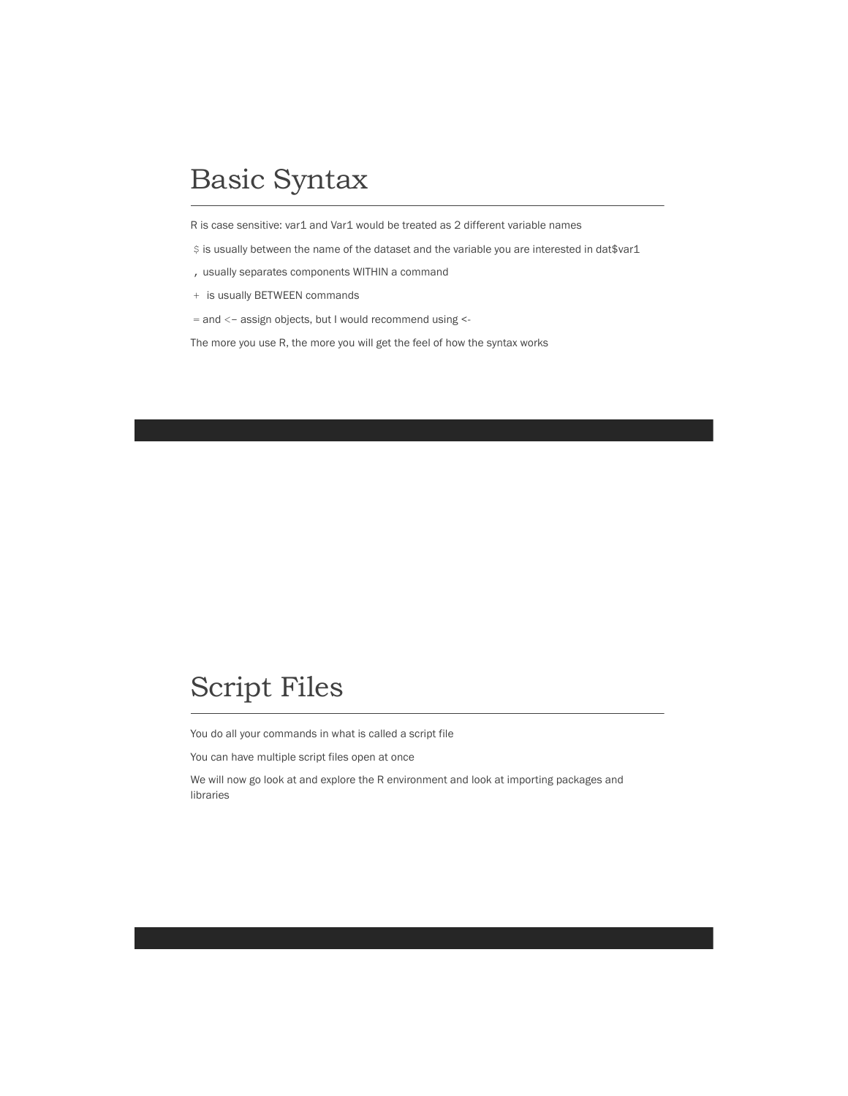# Basic Syntax

R is case sensitive: var1 and Var1 would be treated as 2 different variable names

\$ is usually between the name of the dataset and the variable you are interested in dat\$var1

- , usually separates components WITHIN a command
- + is usually BETWEEN commands
- = and <- assign objects, but I would recommend using <-

The more you use R, the more you will get the feel of how the syntax works

#### Script Files

You do all your commands in what is called a script file

You can have multiple script files open at once

We will now go look at and explore the R environment and look at importing packages and libraries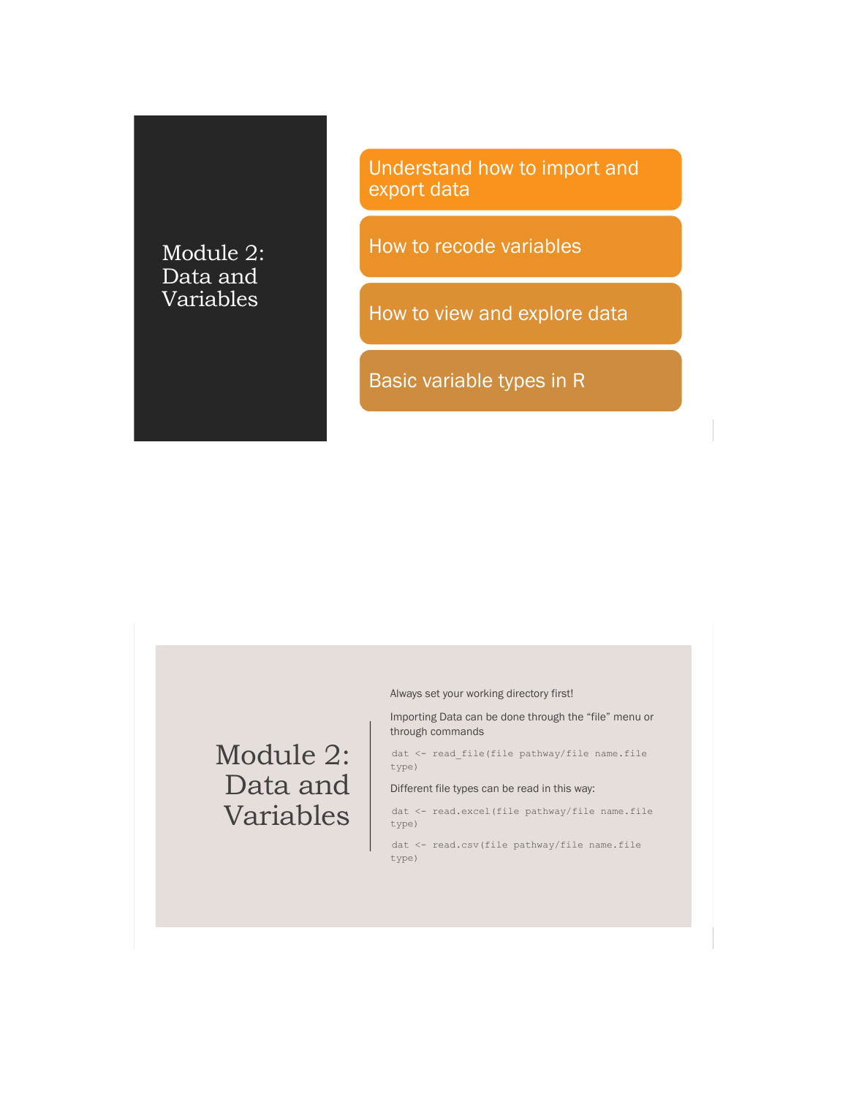#### Module 2: Data and Variables

Understand how to import and export data

How to recode variables

How to view and explore data

Basic variable types in R

Always set your working directory first!

Importing Data can be done through the "file" menu or through commands

dat <- read\_file(file pathway/file name.file type)

Different file types can be read in this way:

dat <- read.excel(file pathway/file name.file type)

dat <- read.csv(file pathway/file name.file type)

#### Module 2: Data and Variables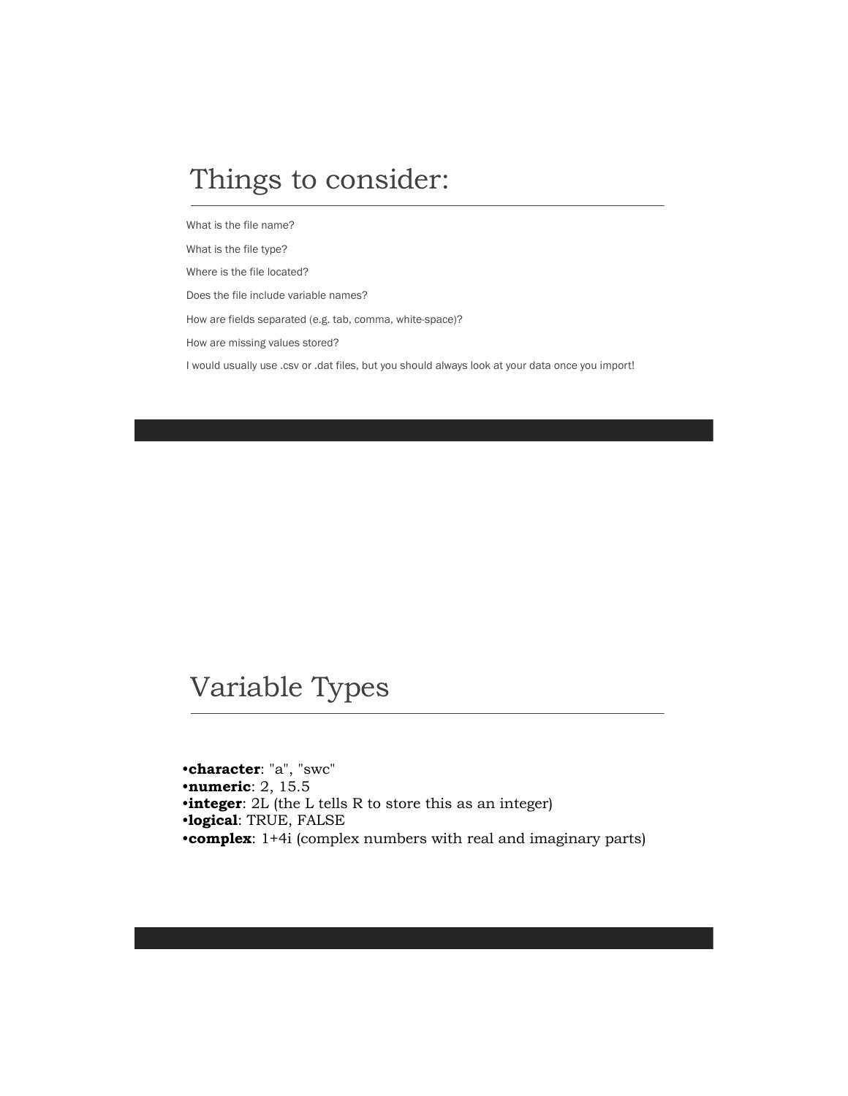#### Things to consider:

What is the file name?

What is the file type?

Where is the file located?

Does the file include variable names?

How are fields separated (e.g. tab, comma, white-space)?

How are missing values stored?

I would usually use .csv or .dat files, but you should always look at your data once you import!

#### Variable Types

•**character**: "a", "swc" •**numeric**: 2, 15.5 •**integer**: 2L (the L tells R to store this as an integer) •**logical**: TRUE, FALSE •**complex**: 1+4i (complex numbers with real and imaginary parts)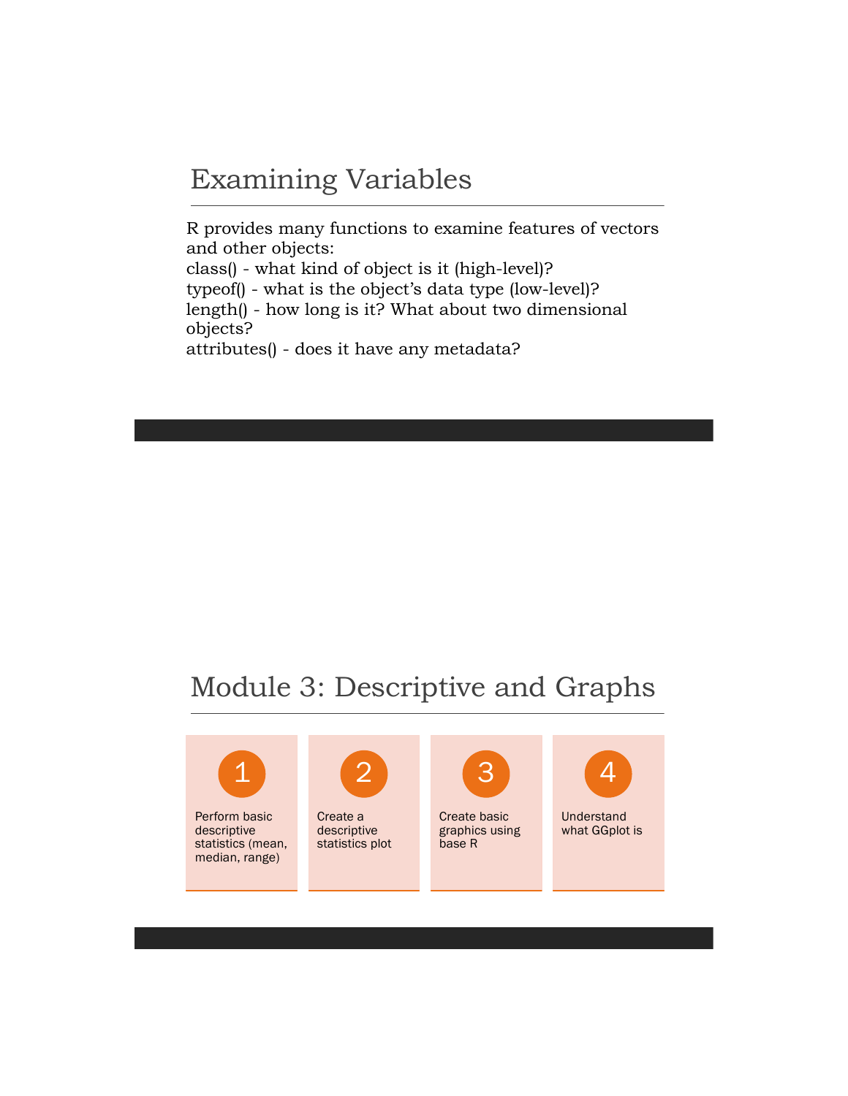#### Examining Variables

R provides many functions to examine features of vectors and other objects: class() - what kind of object is it (high-level)? typeof() - what is the object's data type (low-level)? length() - how long is it? What about two dimensional objects? attributes() - does it have any metadata?

## Module 3: Descriptive and Graphs



Perform basic descriptive statistics (mean, median, range)



Create a descriptive statistics plot



Create basic graphics using base R



**Understand** what GGplot is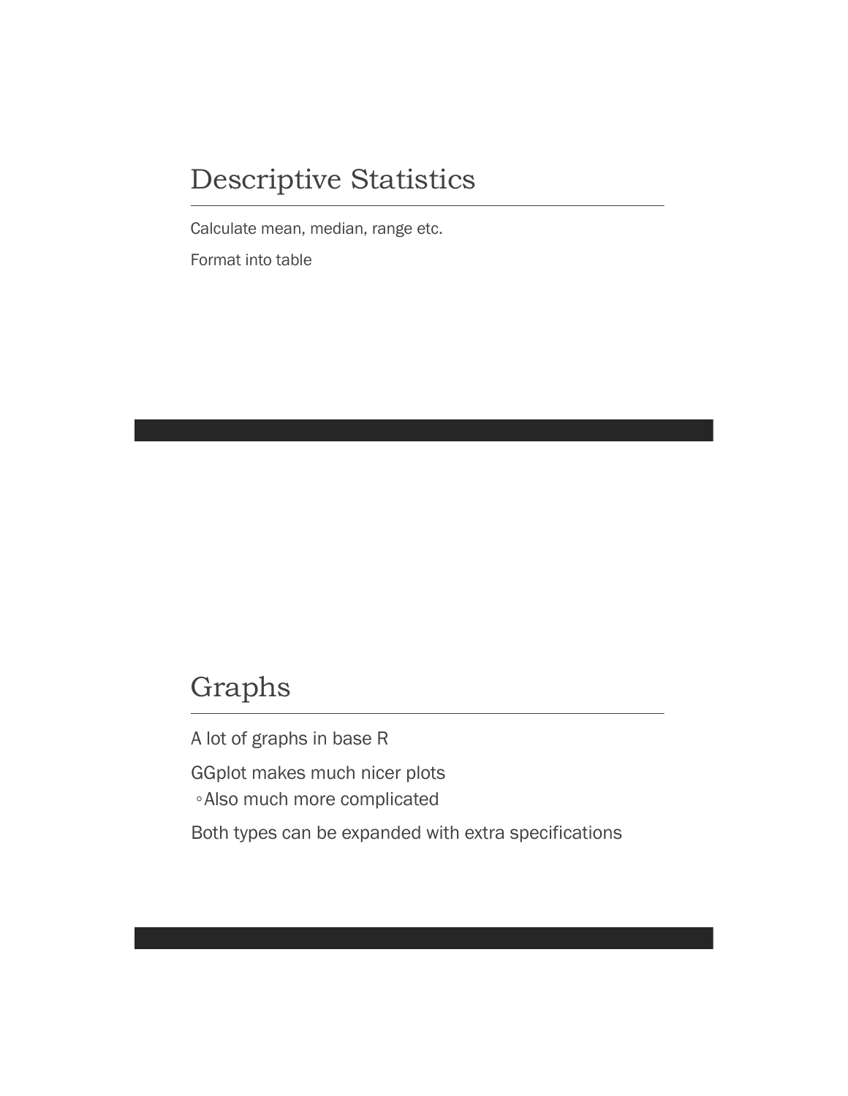#### Descriptive Statistics

Calculate mean, median, range etc.

Format into table

### Graphs

A lot of graphs in base R

GGplot makes much nicer plots

◦Also much more complicated

Both types can be expanded with extra specifications